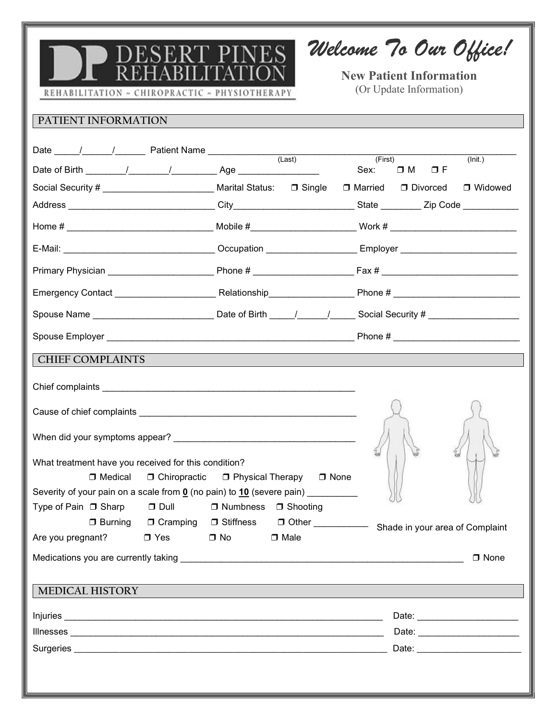

Welcome To Our Office!

New Patient Information (Or Update Information)

REHABILITATION ~ CHIROPRACTIC ~ PHYSIOTHERAPY

## PATIENT INFORMATION

|                                                                                                                      |                                                                                  | (First)<br>$(\overline{\mathsf{Init.}})$<br>Sex: $\Box M$ $\Box F$                                             |  |
|----------------------------------------------------------------------------------------------------------------------|----------------------------------------------------------------------------------|----------------------------------------------------------------------------------------------------------------|--|
| Social Security # _ _ _ _ _ _ _ _ _ _ _ _ _ _ _ _ Marital Status: □ Single □ Married □ Divorced □ Widowed            |                                                                                  |                                                                                                                |  |
|                                                                                                                      |                                                                                  |                                                                                                                |  |
|                                                                                                                      |                                                                                  |                                                                                                                |  |
|                                                                                                                      |                                                                                  |                                                                                                                |  |
|                                                                                                                      |                                                                                  |                                                                                                                |  |
|                                                                                                                      |                                                                                  |                                                                                                                |  |
| Spouse Name __________________________________Date of Birth _____/______/_______Social Security # __________________ |                                                                                  |                                                                                                                |  |
|                                                                                                                      |                                                                                  |                                                                                                                |  |
| <b>CHIEF COMPLAINTS</b>                                                                                              |                                                                                  |                                                                                                                |  |
|                                                                                                                      |                                                                                  |                                                                                                                |  |
|                                                                                                                      |                                                                                  |                                                                                                                |  |
|                                                                                                                      |                                                                                  |                                                                                                                |  |
| What treatment have you received for this condition?                                                                 |                                                                                  |                                                                                                                |  |
| $\Box$ Medical                                                                                                       | □ Chiropractic □ Physical Therapy □ None                                         |                                                                                                                |  |
|                                                                                                                      | Severity of your pain on a scale from 0 (no pain) to 10 (severe pain) __________ |                                                                                                                |  |
| Type of Pain □ Sharp □ Dull □ Numbness □ Shooting                                                                    |                                                                                  |                                                                                                                |  |
| Are you pregnant? □ Yes □ No                                                                                         | $\Box$ Male                                                                      | □ Burning □ Cramping □ Stiffness □ Other Shade in your area of Complaint                                       |  |
|                                                                                                                      |                                                                                  | $\Box$ None                                                                                                    |  |
|                                                                                                                      |                                                                                  |                                                                                                                |  |
| <b>MEDICAL HISTORY</b>                                                                                               |                                                                                  |                                                                                                                |  |
|                                                                                                                      |                                                                                  |                                                                                                                |  |
|                                                                                                                      |                                                                                  | Date: Note: Note: Note: Note: Note: Note: Note: Note: Note: Note: Note: Note: Note: Note: Note: Note: Note: No |  |
|                                                                                                                      |                                                                                  |                                                                                                                |  |
|                                                                                                                      |                                                                                  |                                                                                                                |  |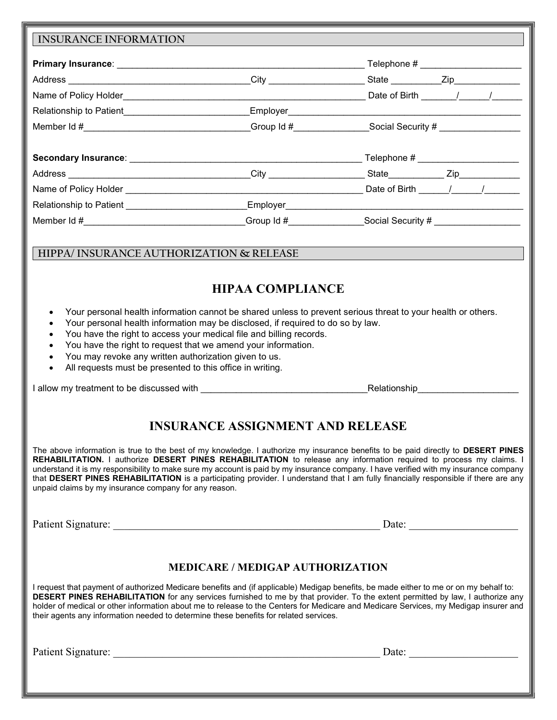|                                                                                                                                                                                                                                                                                                                                                                                                                             |                                                                    | Member Id #__________________________________Group Id #______________Social Security # __________________                                                                                                                                                                                                                                                                                                                                                                                                                                            |
|-----------------------------------------------------------------------------------------------------------------------------------------------------------------------------------------------------------------------------------------------------------------------------------------------------------------------------------------------------------------------------------------------------------------------------|--------------------------------------------------------------------|------------------------------------------------------------------------------------------------------------------------------------------------------------------------------------------------------------------------------------------------------------------------------------------------------------------------------------------------------------------------------------------------------------------------------------------------------------------------------------------------------------------------------------------------------|
|                                                                                                                                                                                                                                                                                                                                                                                                                             |                                                                    |                                                                                                                                                                                                                                                                                                                                                                                                                                                                                                                                                      |
|                                                                                                                                                                                                                                                                                                                                                                                                                             |                                                                    |                                                                                                                                                                                                                                                                                                                                                                                                                                                                                                                                                      |
|                                                                                                                                                                                                                                                                                                                                                                                                                             |                                                                    |                                                                                                                                                                                                                                                                                                                                                                                                                                                                                                                                                      |
|                                                                                                                                                                                                                                                                                                                                                                                                                             |                                                                    |                                                                                                                                                                                                                                                                                                                                                                                                                                                                                                                                                      |
|                                                                                                                                                                                                                                                                                                                                                                                                                             |                                                                    |                                                                                                                                                                                                                                                                                                                                                                                                                                                                                                                                                      |
|                                                                                                                                                                                                                                                                                                                                                                                                                             |                                                                    | Member Id #_________________________________Group Id #______________Social Security # ______________                                                                                                                                                                                                                                                                                                                                                                                                                                                 |
|                                                                                                                                                                                                                                                                                                                                                                                                                             |                                                                    |                                                                                                                                                                                                                                                                                                                                                                                                                                                                                                                                                      |
| HIPPA/ INSURANCE AUTHORIZATION & RELEASE                                                                                                                                                                                                                                                                                                                                                                                    |                                                                    |                                                                                                                                                                                                                                                                                                                                                                                                                                                                                                                                                      |
| $\bullet$<br>Your personal health information may be disclosed, if required to do so by law.<br>$\bullet$<br>You have the right to access your medical file and billing records.<br>$\bullet$<br>You have the right to request that we amend your information.<br>$\bullet$<br>You may revoke any written authorization given to us.<br>$\bullet$<br>All requests must be presented to this office in writing.<br>$\bullet$ | <b>HIPAA COMPLIANCE</b><br><b>INSURANCE ASSIGNMENT AND RELEASE</b> | Your personal health information cannot be shared unless to prevent serious threat to your health or others.<br>Relationship <b>Relationship</b><br>The above information is true to the best of my knowledge. I authorize my insurance benefits to be paid directly to DESERT PINES<br>REHABILITATION. I authorize DESERT PINES REHABILITATION to release any information required to process my claims. I<br>understand it is my responsibility to make sure my account is paid by my insurance company. I have verified with my insurance company |
| that DESERT PINES REHABILITATION is a participating provider. I understand that I am fully financially responsible if there are any<br>unpaid claims by my insurance company for any reason.                                                                                                                                                                                                                                |                                                                    |                                                                                                                                                                                                                                                                                                                                                                                                                                                                                                                                                      |
|                                                                                                                                                                                                                                                                                                                                                                                                                             |                                                                    |                                                                                                                                                                                                                                                                                                                                                                                                                                                                                                                                                      |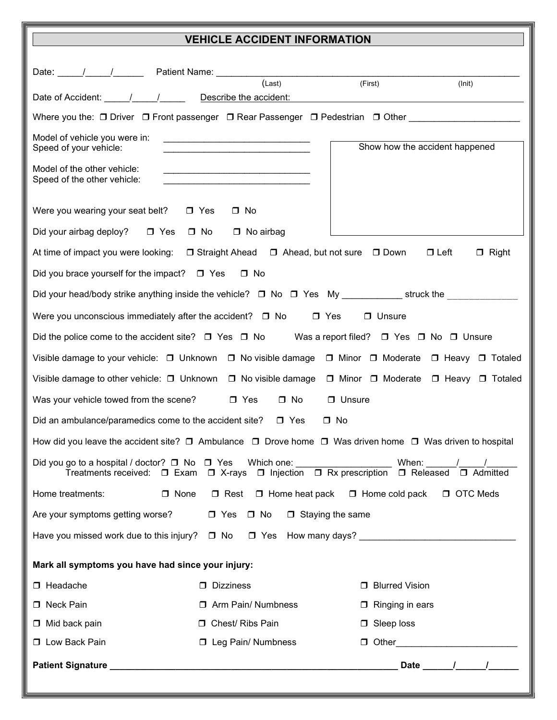## VEHICLE ACCIDENT INFORMATION

|                                                                                                                              | (Last)                                                                                                                                                                                                                                                                                  | (First)                                                  |                                |
|------------------------------------------------------------------------------------------------------------------------------|-----------------------------------------------------------------------------------------------------------------------------------------------------------------------------------------------------------------------------------------------------------------------------------------|----------------------------------------------------------|--------------------------------|
|                                                                                                                              |                                                                                                                                                                                                                                                                                         |                                                          | (lnit)                         |
| Where you the: O Driver O Front passenger O Rear Passenger O Pedestrian O Other ____________________                         |                                                                                                                                                                                                                                                                                         |                                                          |                                |
| Model of vehicle you were in:<br>Speed of your vehicle:                                                                      |                                                                                                                                                                                                                                                                                         | Show how the accident happened                           |                                |
| Model of the other vehicle:<br>Speed of the other vehicle:                                                                   | <u> 1989 - Johann John Stone, markin film yn y brening yn y brening yn y brening yn y brening yn y brening yn y b</u>                                                                                                                                                                   |                                                          |                                |
| Were you wearing your seat belt? $\Box$ Yes                                                                                  | $\Box$ No                                                                                                                                                                                                                                                                               |                                                          |                                |
| Did your airbag deploy? □ Yes □ No □ No airbag                                                                               |                                                                                                                                                                                                                                                                                         |                                                          |                                |
| At time of impact you were looking: □ Straight Ahead □ Ahead, but not sure □ Down                                            |                                                                                                                                                                                                                                                                                         | $\Box$ Left                                              | $\Box$ Right                   |
| Did you brace yourself for the impact? $\Box$ Yes                                                                            | $\square$ No                                                                                                                                                                                                                                                                            |                                                          |                                |
| Did your head/body strike anything inside the vehicle? □ No □ Yes My ____________ struck the ____________                    |                                                                                                                                                                                                                                                                                         |                                                          |                                |
| Were you unconscious immediately after the accident? $\Box$ No                                                               |                                                                                                                                                                                                                                                                                         | $\Box$ Yes<br>$\Box$ Unsure                              |                                |
| Did the police come to the accident site? $\Box$ Yes $\Box$ No Was a report filed? $\Box$ Yes $\Box$ No $\Box$ Unsure        |                                                                                                                                                                                                                                                                                         |                                                          |                                |
| Visible damage to your vehicle: □ Unknown □ No visible damage □ Minor □ Moderate □ Heavy □ Totaled                           |                                                                                                                                                                                                                                                                                         |                                                          |                                |
| Visible damage to other vehicle: $\Box$ Unknown                                                                              |                                                                                                                                                                                                                                                                                         | □ No visible damage □ Minor □ Moderate □ Heavy □ Totaled |                                |
| Was your vehicle towed from the scene?                                                                                       | $\Box$ Yes<br>$\square$ No                                                                                                                                                                                                                                                              | $\Box$ Unsure                                            |                                |
| Did an ambulance/paramedics come to the accident site? $\Box$ Yes                                                            |                                                                                                                                                                                                                                                                                         | $\Box$ No                                                |                                |
| How did you leave the accident site? $\Box$ Ambulance $\Box$ Drove home $\Box$ Was driven home $\Box$ Was driven to hospital |                                                                                                                                                                                                                                                                                         |                                                          |                                |
| Did you go to a hospital / doctor? $\Box$ No $\Box$ Yes<br>Treatments received:<br>$\square$ Exam                            | Which one: which we have a set of the set of the set of the set of the set of the set of the set of the set of the set of the set of the set of the set of the set of the set of the set of the set of the set of the set of t<br>$\Box$ X-rays $\Box$ Injection $\Box$ Rx prescription | When:<br>$\square$ Released                              | □ Admitted                     |
| Home treatments:<br>$\Box$ None                                                                                              | $\Box$ Rest $\Box$ Home heat pack                                                                                                                                                                                                                                                       | $\Box$ Home cold pack                                    | D OTC Meds                     |
| Are your symptoms getting worse?                                                                                             | $\Box$ Yes $\Box$ No                                                                                                                                                                                                                                                                    | $\Box$ Staying the same                                  |                                |
| Have you missed work due to this injury? $\Box$ No $\Box$ Yes How many days?                                                 |                                                                                                                                                                                                                                                                                         |                                                          |                                |
| Mark all symptoms you have had since your injury:                                                                            |                                                                                                                                                                                                                                                                                         |                                                          |                                |
| $\Box$ Headache                                                                                                              | D Dizziness                                                                                                                                                                                                                                                                             | <b>D</b> Blurred Vision                                  |                                |
| □ Neck Pain                                                                                                                  | □ Arm Pain/ Numbness                                                                                                                                                                                                                                                                    | $\Box$ Ringing in ears                                   |                                |
| $\Box$ Mid back pain                                                                                                         | □ Chest/ Ribs Pain                                                                                                                                                                                                                                                                      | $\Box$ Sleep loss                                        |                                |
| <b>D</b> Low Back Pain                                                                                                       | □ Leg Pain/ Numbness                                                                                                                                                                                                                                                                    |                                                          |                                |
|                                                                                                                              |                                                                                                                                                                                                                                                                                         |                                                          | Date $\frac{1}{\sqrt{2\pi}}$ / |